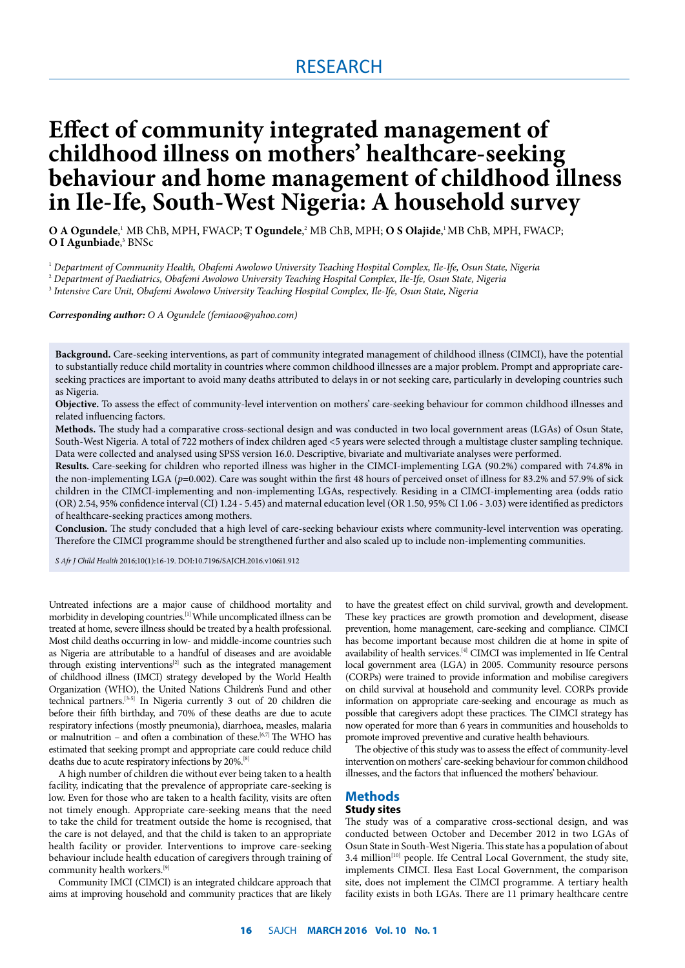# RESEARCH

# **Effect of community integrated management of childhood illness on mothers' healthcare-seeking behaviour and home management of childhood illness in Ile-Ife, South-West Nigeria: A household survey**

**O A Ogundele**, <sup>1</sup> MB ChB, MPH, FWACP; **T Ogundele**, 2 MB ChB, MPH; **O S Olajide**, 1 MB ChB, MPH, FWACP; **O I Agunbiade**,<sup>3</sup> BNSc

1  *Department of Community Health, Obafemi Awolowo University Teaching Hospital Complex, Ile-Ife, Osun State, Nigeria*

3  *Intensive Care Unit, Obafemi Awolowo University Teaching Hospital Complex, Ile-Ife, Osun State, Nigeria*

*Corresponding author: O A Ogundele (femiaoo@yahoo.com)*

**Background.** Care-seeking interventions, as part of community integrated management of childhood illness (CIMCI), have the potential to substantially reduce child mortality in countries where common childhood illnesses are a major problem. Prompt and appropriate careseeking practices are important to avoid many deaths attributed to delays in or not seeking care, particularly in developing countries such as Nigeria.

**Objective.** To assess the effect of community-level intervention on mothers' care-seeking behaviour for common childhood illnesses and related influencing factors.

**Methods.** The study had a comparative cross-sectional design and was conducted in two local government areas (LGAs) of Osun State, South-West Nigeria. A total of 722 mothers of index children aged <5 years were selected through a multistage cluster sampling technique. Data were collected and analysed using SPSS version 16.0. Descriptive, bivariate and multivariate analyses were performed.

**Results.** Care-seeking for children who reported illness was higher in the CIMCI-implementing LGA (90.2%) compared with 74.8% in the non-implementing LGA ( $p=0.002$ ). Care was sought within the first 48 hours of perceived onset of illness for 83.2% and 57.9% of sick children in the CIMCI-implementing and non-implementing LGAs, respectively. Residing in a CIMCI-implementing area (odds ratio (OR) 2.54, 95% confidence interval (CI) 1.24 - 5.45) and maternal education level (OR 1.50, 95% CI 1.06 - 3.03) were identified as predictors of healthcare-seeking practices among mothers.

**Conclusion.** The study concluded that a high level of care-seeking behaviour exists where community-level intervention was operating. Therefore the CIMCI programme should be strengthened further and also scaled up to include non-implementing communities.

*S Afr J Child Health* 2016;10(1):16-19. DOI:10.7196/SAJCH.2016.v106i1.912

Untreated infections are a major cause of childhood mortality and morbidity in developing countries.[1] While uncomplicated illness can be treated at home, severe illness should be treated by a health professional. Most child deaths occurring in low- and middle-income countries such as Nigeria are attributable to a handful of diseases and are avoidable through existing interventions<sup>[2]</sup> such as the integrated management of childhood illness (IMCI) strategy developed by the World Health Organization (WHO), the United Nations Children's Fund and other technical partners.[3-5] In Nigeria currently 3 out of 20 children die before their fifth birthday, and 70% of these deaths are due to acute respiratory infections (mostly pneumonia), diarrhoea, measles, malaria or malnutrition – and often a combination of these.<sup>[6,7]</sup> The WHO has estimated that seeking prompt and appropriate care could reduce child deaths due to acute respiratory infections by 20%.[8]

A high number of children die without ever being taken to a health facility, indicating that the prevalence of appropriate care-seeking is low. Even for those who are taken to a health facility, visits are often not timely enough. Appropriate care-seeking means that the need to take the child for treatment outside the home is recognised, that the care is not delayed, and that the child is taken to an appropriate health facility or provider. Interventions to improve care-seeking behaviour include health education of caregivers through training of community health workers.<sup>[9]</sup>

Community IMCI (CIMCI) is an integrated childcare approach that aims at improving household and community practices that are likely to have the greatest effect on child survival, growth and development. These key practices are growth promotion and development, disease prevention, home management, care-seeking and compliance. CIMCI has become important because most children die at home in spite of availability of health services.[4] CIMCI was implemented in Ife Central local government area (LGA) in 2005. Community resource persons (CORPs) were trained to provide information and mobilise caregivers on child survival at household and community level. CORPs provide information on appropriate care-seeking and encourage as much as possible that caregivers adopt these practices. The CIMCI strategy has now operated for more than 6 years in communities and households to promote improved preventive and curative health behaviours.

The objective of this study was to assess the effect of community-level intervention on mothers' care-seeking behaviour for common childhood illnesses, and the factors that influenced the mothers' behaviour.

## **Methods**

## **Study sites**

The study was of a comparative cross-sectional design, and was conducted between October and December 2012 in two LGAs of Osun State in South-West Nigeria. This state has a population of about 3.4 million $[10]$  people. Ife Central Local Government, the study site, implements CIMCI. Ilesa East Local Government, the comparison site, does not implement the CIMCI programme. A tertiary health facility exists in both LGAs. There are 11 primary healthcare centre

<sup>2</sup>  *Department of Paediatrics, Obafemi Awolowo University Teaching Hospital Complex, Ile-Ife, Osun State, Nigeria*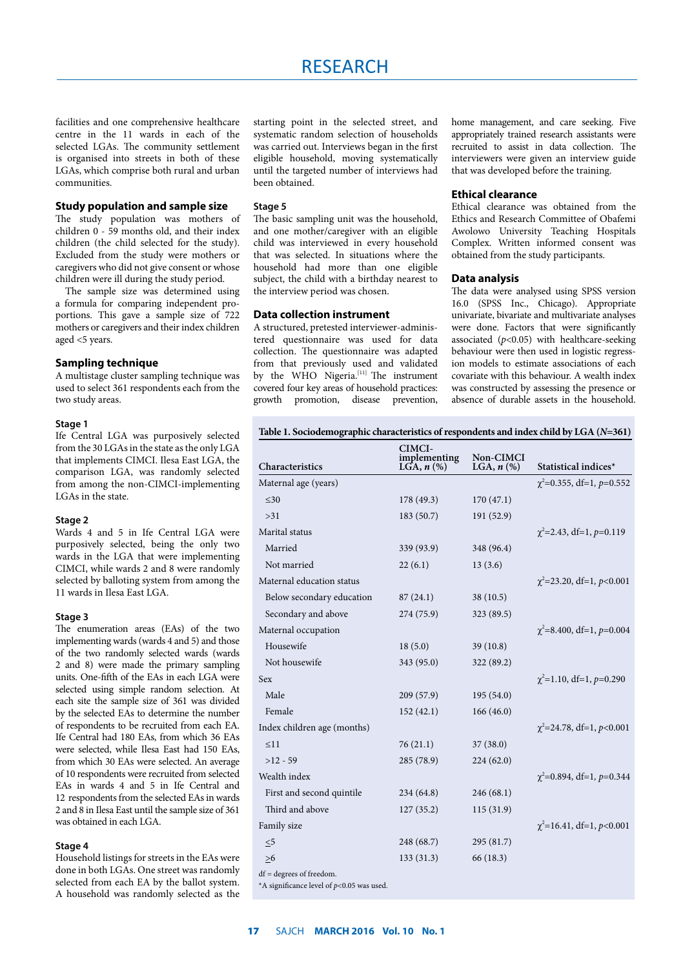facilities and one comprehensive healthcare centre in the 11 wards in each of the selected LGAs. The community settlement is organised into streets in both of these LGAs, which comprise both rural and urban communities.

#### **Study population and sample size**

The study population was mothers of children 0 - 59 months old, and their index children (the child selected for the study). Excluded from the study were mothers or caregivers who did not give consent or whose children were ill during the study period.

The sample size was determined using a formula for comparing independent proportions. This gave a sample size of 722 mothers or caregivers and their index children aged <5 years.

#### **Sampling technique**

A multistage cluster sampling technique was used to select 361 respondents each from the two study areas.

#### **Stage 1**

Ife Central LGA was purposively selected from the 30 LGAs in the state as the only LGA that implements CIMCI. Ilesa East LGA, the comparison LGA, was randomly selected from among the non-CIMCI-implementing LGAs in the state.

#### **Stage 2**

Wards 4 and 5 in Ife Central LGA were purposively selected, being the only two wards in the LGA that were implementing CIMCI, while wards 2 and 8 were randomly selected by balloting system from among the 11 wards in Ilesa East LGA.

#### **Stage 3**

The enumeration areas (EAs) of the two implementing wards (wards 4 and 5) and those of the two randomly selected wards (wards 2 and 8) were made the primary sampling units. One-fifth of the EAs in each LGA were selected using simple random selection. At each site the sample size of 361 was divided by the selected EAs to determine the number of respondents to be recruited from each EA. Ife Central had 180 EAs, from which 36 EAs were selected, while Ilesa East had 150 EAs, from which 30 EAs were selected. An average of 10 respondents were recruited from selected EAs in wards 4 and 5 in Ife Central and 12 respondents from the selected EAs in wards 2 and 8 in Ilesa East until the sample size of 361 was obtained in each LGA.

#### **Stage 4**

Household listings for streets in the EAs were done in both LGAs. One street was randomly selected from each EA by the ballot system. A household was randomly selected as the

starting point in the selected street, and systematic random selection of households was carried out. Interviews began in the first eligible household, moving systematically until the targeted number of interviews had been obtained.

#### **Stage 5**

The basic sampling unit was the household, and one mother/caregiver with an eligible child was interviewed in every household that was selected. In situations where the household had more than one eligible subject, the child with a birthday nearest to the interview period was chosen.

#### **Data collection instrument**

A structured, pretested interviewer-administered questionnaire was used for data collection. The questionnaire was adapted from that previously used and validated by the WHO Nigeria.<sup>[11]</sup> The instrument covered four key areas of household practices: growth promotion, disease prevention,

home management, and care seeking. Five appropriately trained research assistants were recruited to assist in data collection. The interviewers were given an interview guide that was developed before the training.

#### **Ethical clearance**

Ethical clearance was obtained from the Ethics and Research Committee of Obafemi Awolowo University Teaching Hospitals Complex. Written informed consent was obtained from the study participants.

#### **Data analysis**

The data were analysed using SPSS version 16.0 (SPSS Inc., Chicago). Appropriate univariate, bivariate and multivariate analyses were done. Factors that were significantly associated  $(p<0.05)$  with healthcare-seeking behaviour were then used in logistic regression models to estimate associations of each covariate with this behaviour. A wealth index was constructed by assessing the presence or absence of durable assets in the household.

#### **Table 1. Sociodemographic characteristics of respondents and index child by LGA (***N***=361)**

| $\chi^2$ =0.355, df=1, p=0.552   |
|----------------------------------|
|                                  |
|                                  |
| $\gamma^2$ =2.43, df=1, p=0.119  |
|                                  |
|                                  |
| $\chi^2$ =23.20, df=1, p<0.001   |
|                                  |
|                                  |
| $\chi^2$ =8.400, df=1, p=0.004   |
|                                  |
|                                  |
| $\gamma^2$ =1.10, df=1, p=0.290  |
|                                  |
|                                  |
| $\chi^2$ =24.78, df=1, p<0.001   |
|                                  |
|                                  |
| $\chi^2$ =0.894, df=1, p=0.344   |
|                                  |
|                                  |
| $\gamma^2$ =16.41, df=1, p<0.001 |
|                                  |
|                                  |
|                                  |
|                                  |

\*A significance level of *p*<0.05 was used.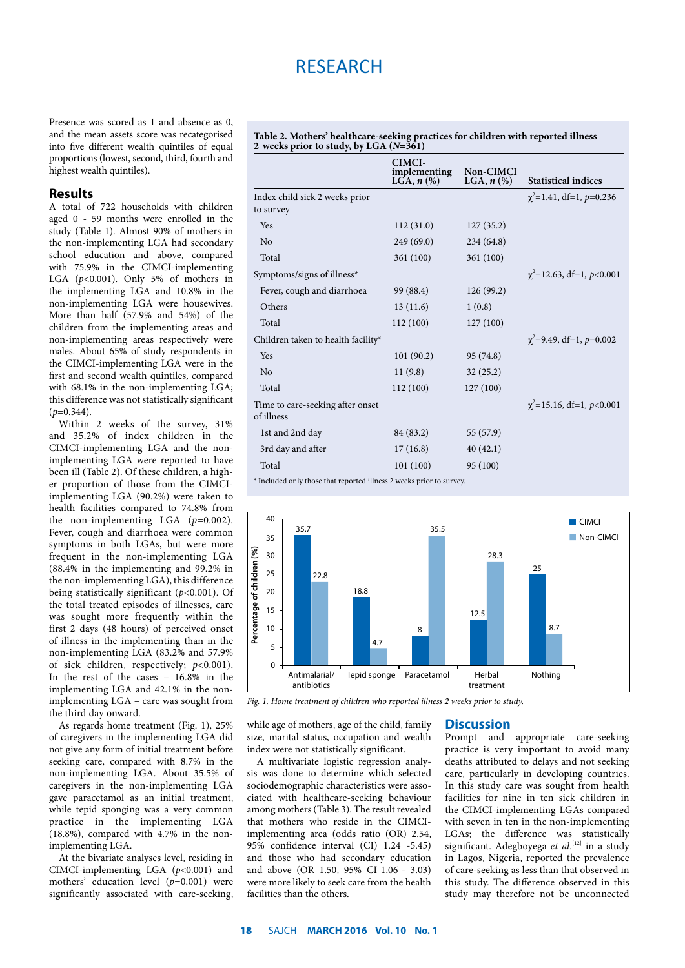Presence was scored as 1 and absence as 0, and the mean assets score was recategorised into five different wealth quintiles of equal proportions (lowest, second, third, fourth and highest wealth quintiles).

### **Results**

A total of 722 households with children aged 0 - 59 months were enrolled in the study (Table 1). Almost 90% of mothers in the non-implementing LGA had secondary school education and above, compared with 75.9% in the CIMCI-implementing LGA  $(p<0.001)$ . Only 5% of mothers in the implementing LGA and 10.8% in the non-implementing LGA were housewives. More than half (57.9% and 54%) of the children from the implementing areas and non-implementing areas respectively were males. About 65% of study respondents in the CIMCI-implementing LGA were in the first and second wealth quintiles, compared with 68.1% in the non-implementing LGA; this difference was not statistically significant  $(p=0.344)$ .

Within 2 weeks of the survey, 31% and 35.2% of index children in the CIMCI-implementing LGA and the nonimplementing LGA were reported to have been ill (Table 2). Of these children, a higher proportion of those from the CIMCIimplementing LGA (90.2%) were taken to health facilities compared to 74.8% from the non-implementing LGA (*p*=0.002). Fever, cough and diarrhoea were common symptoms in both LGAs, but were more frequent in the non-implementing LGA (88.4% in the implementing and 99.2% in the non-implementing LGA), this difference being statistically significant (*p*<0.001). Of the total treated episodes of illnesses, care was sought more frequently within the first 2 days (48 hours) of perceived onset of illness in the implementing than in the non-implementing LGA (83.2% and 57.9% of sick children, respectively; *p*<0.001). In the rest of the cases – 16.8% in the implementing LGA and 42.1% in the nonimplementing LGA – care was sought from the third day onward.

As regards home treatment (Fig. 1), 25% of caregivers in the implementing LGA did not give any form of initial treatment before seeking care, compared with 8.7% in the non-implementing LGA. About 35.5% of caregivers in the non-implementing LGA gave paracetamol as an initial treatment, while tepid sponging was a very common practice in the implementing LGA (18.8%), compared with 4.7% in the nonimplementing LGA.

At the bivariate analyses level, residing in CIMCI-implementing LGA (*p*<0.001) and mothers' education level (*p*=0.001) were significantly associated with care-seeking,

**Table 2. Mothers' healthcare-seeking practices for children with reported illness 2 weeks prior to study, by LGA (***N***=361)**

|                                                                      | CIMCI-<br>implementing<br>LGA, $n$ $(\%)$ | Non-CIMCI<br>LGA, $n$ $(\%)$ | <b>Statistical indices</b>        |
|----------------------------------------------------------------------|-------------------------------------------|------------------------------|-----------------------------------|
| Index child sick 2 weeks prior                                       |                                           |                              | $\chi^2$ =1.41, df=1, p=0.236     |
| to survey                                                            |                                           |                              |                                   |
| Yes                                                                  | 112(31.0)                                 | 127(35.2)                    |                                   |
| N <sub>0</sub>                                                       | 249(69.0)                                 | 234 (64.8)                   |                                   |
| Total                                                                | 361 (100)                                 | 361 (100)                    |                                   |
| Symptoms/signs of illness*                                           |                                           |                              | $\chi^2$ =12.63, df=1, p<0.001    |
| Fever, cough and diarrhoea                                           | 99 (88.4)                                 | 126(99.2)                    |                                   |
| Others                                                               | 13(11.6)                                  | 1(0.8)                       |                                   |
| Total                                                                | 112 (100)                                 | 127(100)                     |                                   |
| Children taken to health facility*                                   |                                           |                              | $\gamma^2 = 9.49$ , df=1, p=0.002 |
| <b>Yes</b>                                                           | 101(90.2)                                 | 95 (74.8)                    |                                   |
| No                                                                   | 11(9.8)                                   | 32(25.2)                     |                                   |
| Total                                                                | 112(100)                                  | 127(100)                     |                                   |
| Time to care-seeking after onset<br>of illness                       |                                           |                              | $\gamma^2$ =15.16, df=1, p<0.001  |
| 1st and 2nd day                                                      | 84 (83.2)                                 | 55 (57.9)                    |                                   |
| 3rd day and after                                                    | 17(16.8)                                  | 40(42.1)                     |                                   |
| Total                                                                | 101(100)                                  | 95 (100)                     |                                   |
| * Included only those that reported illness 2 weeks prior to survey. |                                           |                              |                                   |



*Fig. 1. Home treatment of children who reported illness 2 weeks prior to study.*

while age of mothers, age of the child, family size, marital status, occupation and wealth index were not statistically significant.

A multivariate logistic regression analysis was done to determine which selected sociodemographic characteristics were associated with healthcare-seeking behaviour among mothers (Table 3). The result revealed that mothers who reside in the CIMCIimplementing area (odds ratio (OR) 2.54, 95% confidence interval (CI) 1.24 -5.45) and those who had secondary education and above (OR 1.50, 95% CI 1.06 - 3.03) were more likely to seek care from the health facilities than the others.

#### **Discussion**

Prompt and appropriate care-seeking practice is very important to avoid many deaths attributed to delays and not seeking care, particularly in developing countries. In this study care was sought from health facilities for nine in ten sick children in the CIMCI-implementing LGAs compared with seven in ten in the non-implementing LGAs; the difference was statistically significant. Adegboyega et al.<sup>[12]</sup> in a study in Lagos, Nigeria, reported the prevalence of care-seeking as less than that observed in this study. The difference observed in this study may therefore not be unconnected